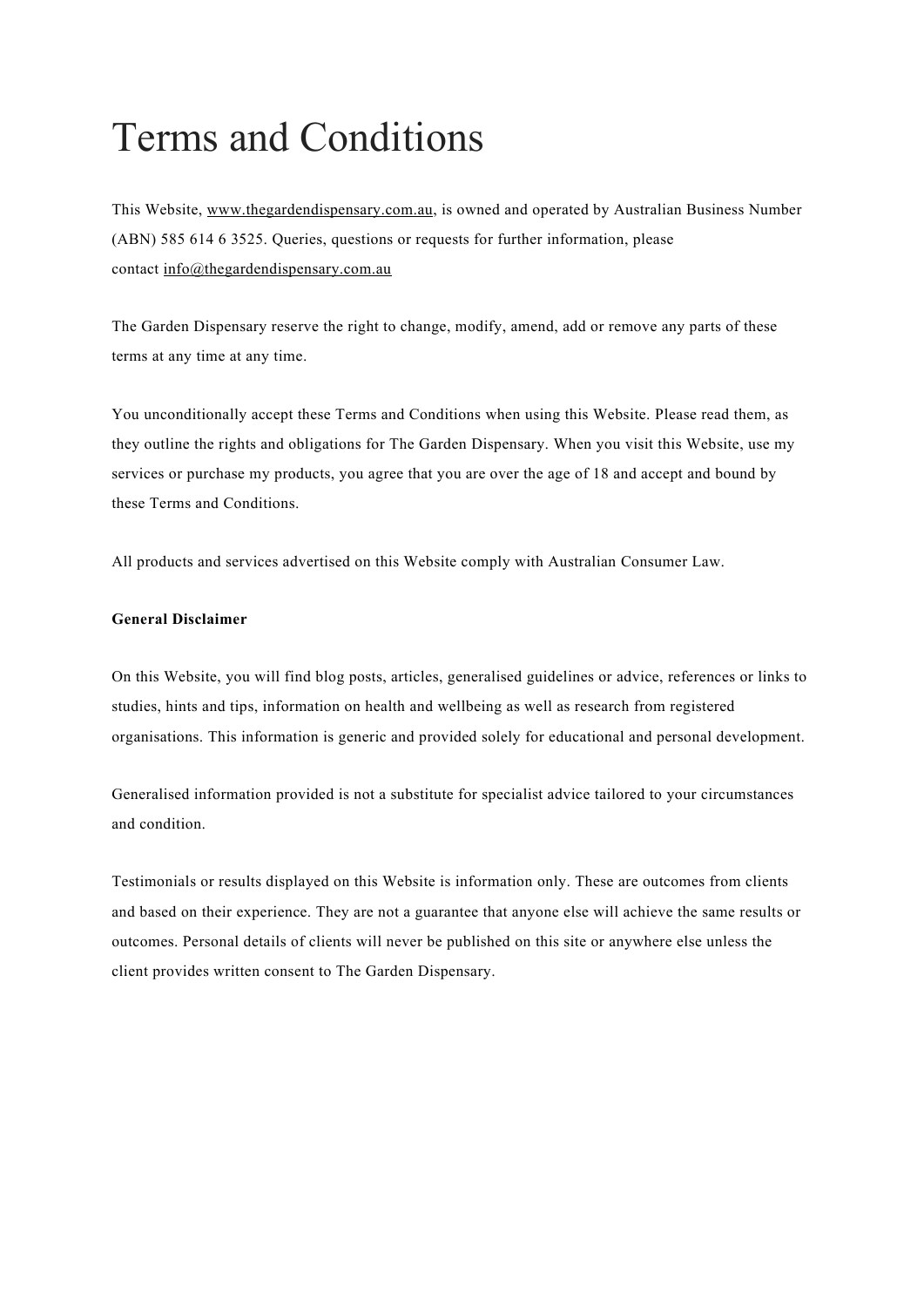# Terms and Conditions

This Website, [www.thegardendispensary.com.au,](http://www.thegardendispensary.com.au/) is owned and operated by Australian Business Number (ABN) 585 614 6 3525. Queries, questions or requests for further information, please contact [info@thegardendispensary.com.au](mailto:info@thegardendispensary.com.au) 

The Garden Dispensary reserve the right to change, modify, amend, add or remove any parts of these terms at any time at any time.

You unconditionally accept these Terms and Conditions when using this Website. Please read them, as they outline the rights and obligations for The Garden Dispensary. When you visit this Website, use my services or purchase my products, you agree that you are over the age of 18 and accept and bound by these Terms and Conditions.

All products and services advertised on this Website comply with Australian Consumer Law.

## **General Disclaimer**

On this Website, you will find blog posts, articles, generalised guidelines or advice, references or links to studies, hints and tips, information on health and wellbeing as well as research from registered organisations. This information is generic and provided solely for educational and personal development.

Generalised information provided is not a substitute for specialist advice tailored to your circumstances and condition.

Testimonials or results displayed on this Website is information only. These are outcomes from clients and based on their experience. They are not a guarantee that anyone else will achieve the same results or outcomes. Personal details of clients will never be published on this site or anywhere else unless the client provides written consent to The Garden Dispensary.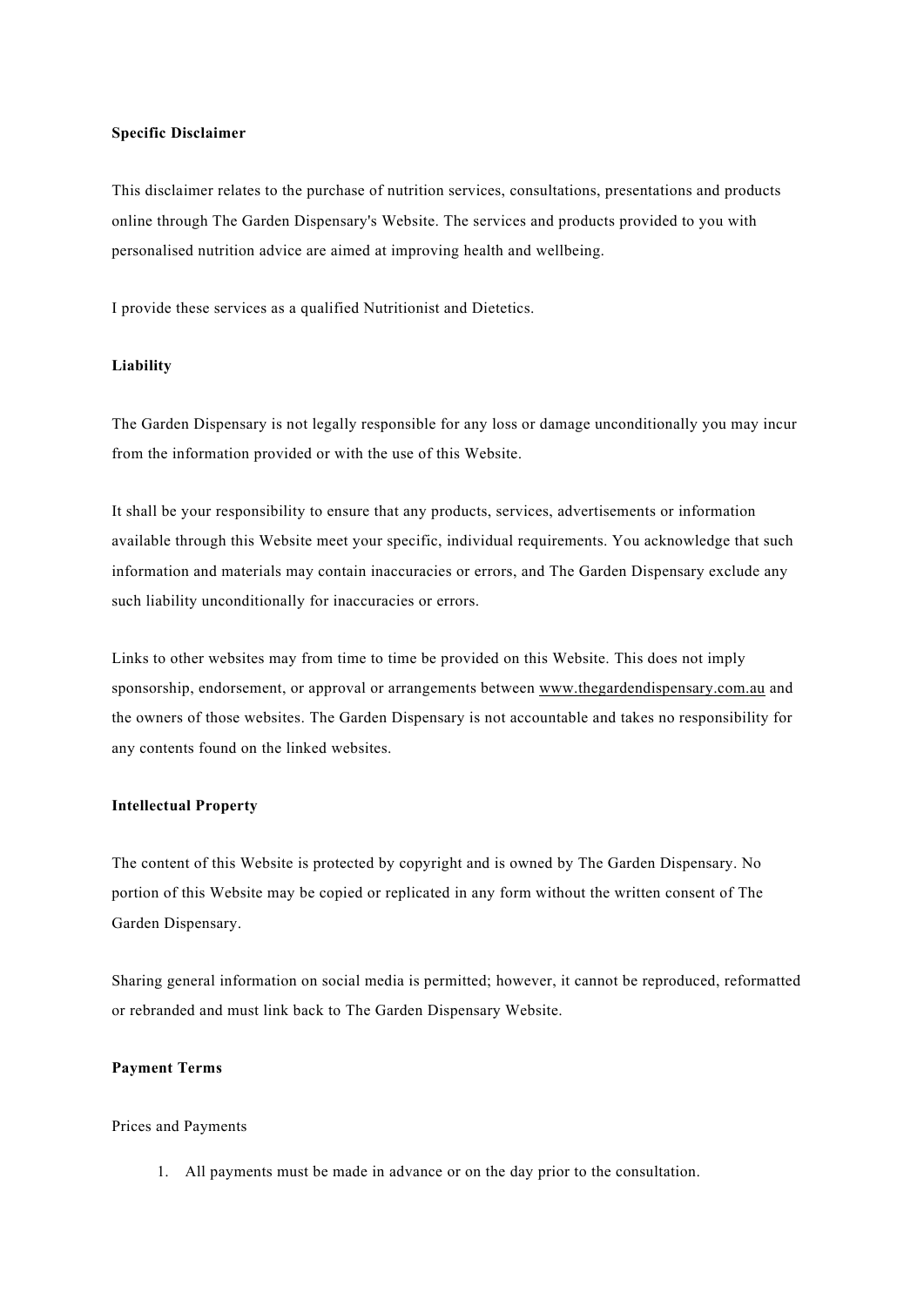#### **Specific Disclaimer**

This disclaimer relates to the purchase of nutrition services, consultations, presentations and products online through The Garden Dispensary's Website. The services and products provided to you with personalised nutrition advice are aimed at improving health and wellbeing.

I provide these services as a qualified Nutritionist and Dietetics.

#### **Liability**

The Garden Dispensary is not legally responsible for any loss or damage unconditionally you may incur from the information provided or with the use of this Website.

It shall be your responsibility to ensure that any products, services, advertisements or information available through this Website meet your specific, individual requirements. You acknowledge that such information and materials may contain inaccuracies or errors, and The Garden Dispensary exclude any such liability unconditionally for inaccuracies or errors.

Links to other websites may from time to time be provided on this Website. This does not imply sponsorship, endorsement, or approval or arrangements between [www.thegardendispensary.com.au](http://www.thegardendispensary.com.au/) and the owners of those websites. The Garden Dispensary is not accountable and takes no responsibility for any contents found on the linked websites.

## **Intellectual Property**

The content of this Website is protected by copyright and is owned by The Garden Dispensary. No portion of this Website may be copied or replicated in any form without the written consent of The Garden Dispensary.

Sharing general information on social media is permitted; however, it cannot be reproduced, reformatted or rebranded and must link back to The Garden Dispensary Website.

## **Payment Terms**

#### Prices and Payments

1. All payments must be made in advance or on the day prior to the consultation.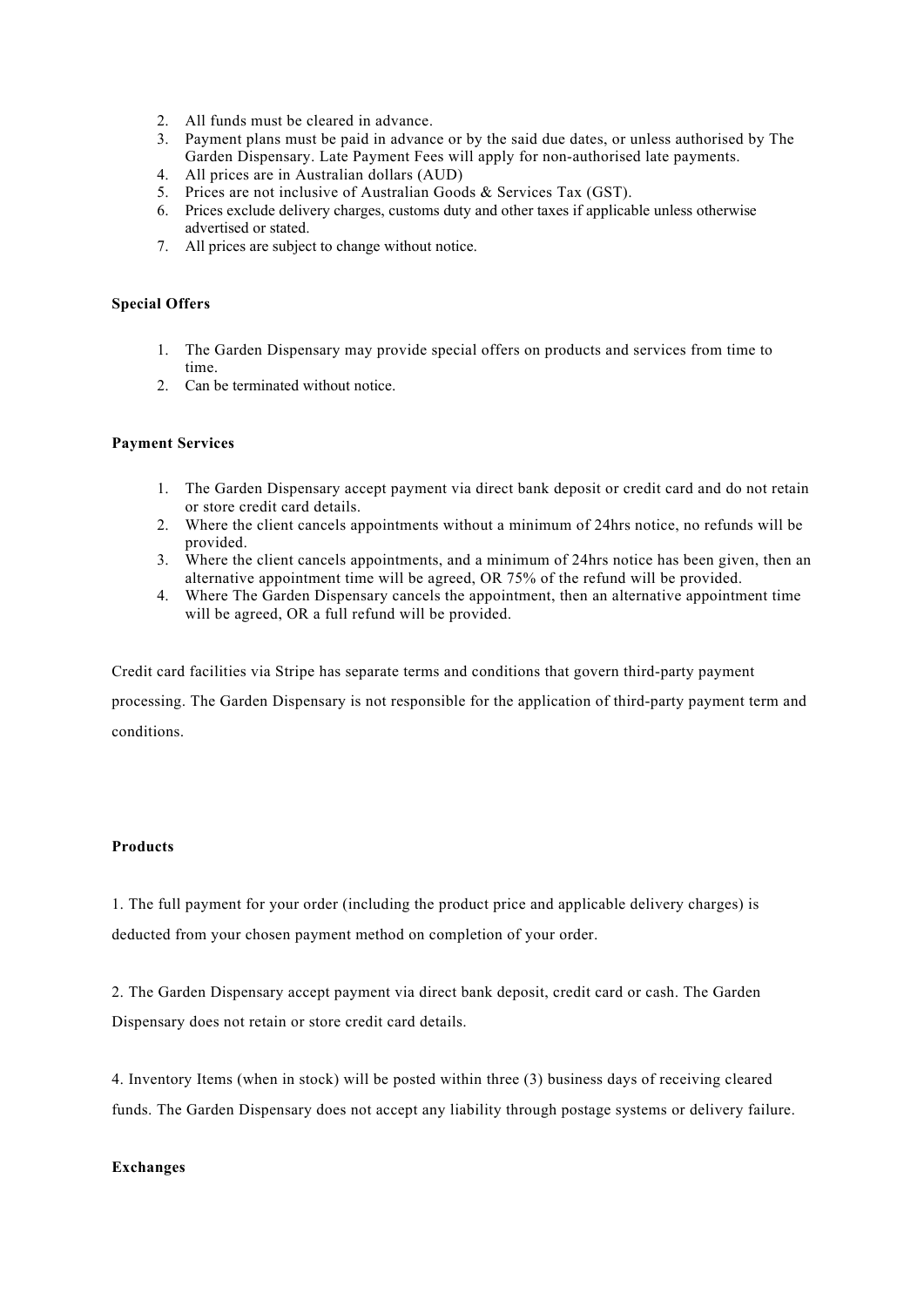- 2. All funds must be cleared in advance.
- 3. Payment plans must be paid in advance or by the said due dates, or unless authorised by The Garden Dispensary. Late Payment Fees will apply for non-authorised late payments.
- 4. All prices are in Australian dollars (AUD)
- 5. Prices are not inclusive of Australian Goods & Services Tax (GST).
- 6. Prices exclude delivery charges, customs duty and other taxes if applicable unless otherwise advertised or stated.
- 7. All prices are subject to change without notice.

## **Special Offers**

- 1. The Garden Dispensary may provide special offers on products and services from time to time.
- 2. Can be terminated without notice.

#### **Payment Services**

- 1. The Garden Dispensary accept payment via direct bank deposit or credit card and do not retain or store credit card details.
- 2. Where the client cancels appointments without a minimum of 24hrs notice, no refunds will be provided.
- 3. Where the client cancels appointments, and a minimum of 24hrs notice has been given, then an alternative appointment time will be agreed, OR 75% of the refund will be provided.
- 4. Where The Garden Dispensary cancels the appointment, then an alternative appointment time will be agreed, OR a full refund will be provided.

Credit card facilities via Stripe has separate terms and conditions that govern third-party payment

processing. The Garden Dispensary is not responsible for the application of third-party payment term and conditions.

## **Products**

1. The full payment for your order (including the product price and applicable delivery charges) is deducted from your chosen payment method on completion of your order.

2. The Garden Dispensary accept payment via direct bank deposit, credit card or cash. The Garden Dispensary does not retain or store credit card details.

4. Inventory Items (when in stock) will be posted within three (3) business days of receiving cleared funds. The Garden Dispensary does not accept any liability through postage systems or delivery failure.

#### **Exchanges**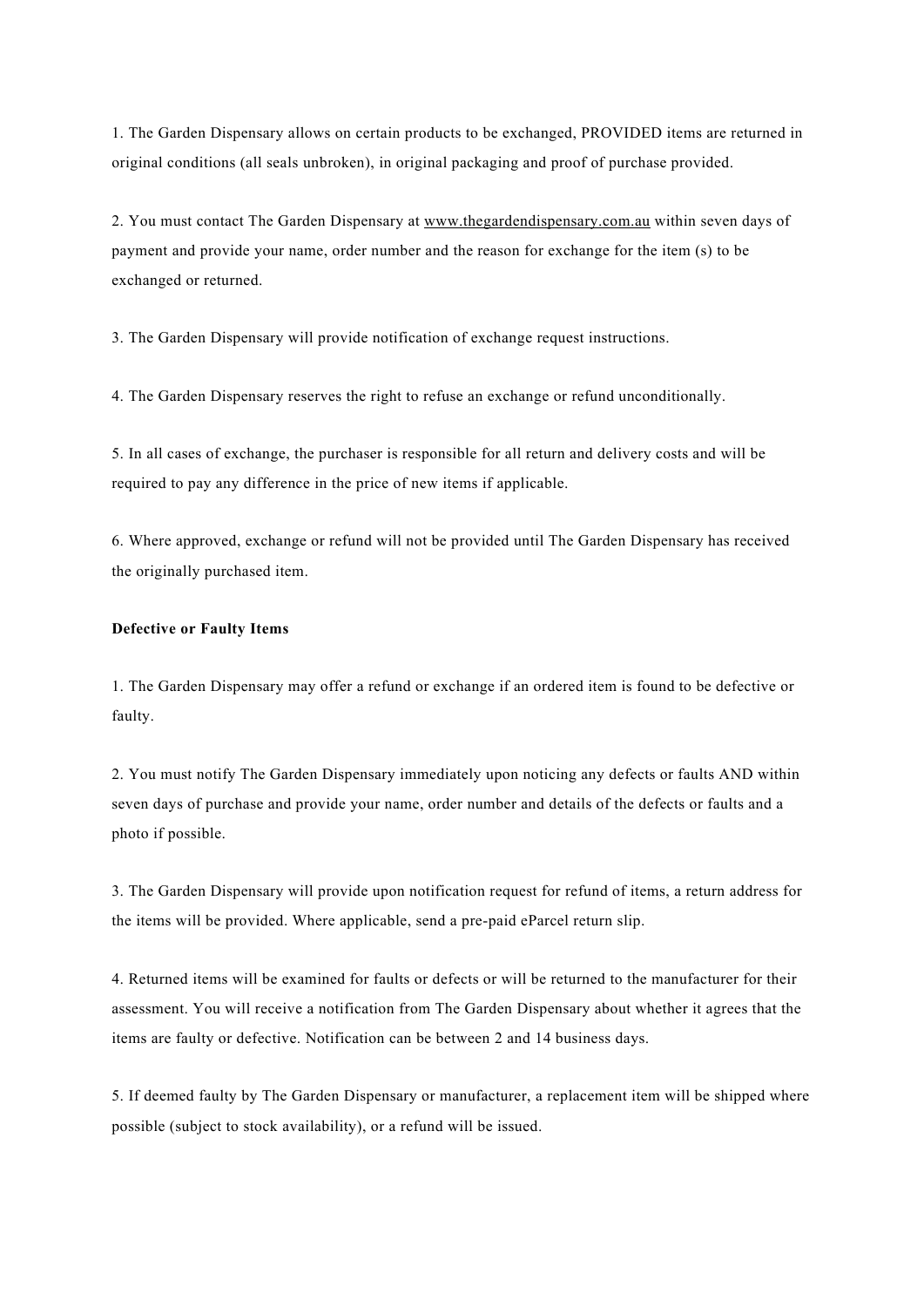1. The Garden Dispensary allows on certain products to be exchanged, PROVIDED items are returned in original conditions (all seals unbroken), in original packaging and proof of purchase provided.

2. You must contact The Garden Dispensary at [www.thegardendispensary.com.au](http://www.thegardendispensary.com.au/) within seven days of payment and provide your name, order number and the reason for exchange for the item (s) to be exchanged or returned.

3. The Garden Dispensary will provide notification of exchange request instructions.

4. The Garden Dispensary reserves the right to refuse an exchange or refund unconditionally.

5. In all cases of exchange, the purchaser is responsible for all return and delivery costs and will be required to pay any difference in the price of new items if applicable.

6. Where approved, exchange or refund will not be provided until The Garden Dispensary has received the originally purchased item.

#### **Defective or Faulty Items**

1. The Garden Dispensary may offer a refund or exchange if an ordered item is found to be defective or faulty.

2. You must notify The Garden Dispensary immediately upon noticing any defects or faults AND within seven days of purchase and provide your name, order number and details of the defects or faults and a photo if possible.

3. The Garden Dispensary will provide upon notification request for refund of items, a return address for the items will be provided. Where applicable, send a pre-paid eParcel return slip.

4. Returned items will be examined for faults or defects or will be returned to the manufacturer for their assessment. You will receive a notification from The Garden Dispensary about whether it agrees that the items are faulty or defective. Notification can be between 2 and 14 business days.

5. If deemed faulty by The Garden Dispensary or manufacturer, a replacement item will be shipped where possible (subject to stock availability), or a refund will be issued.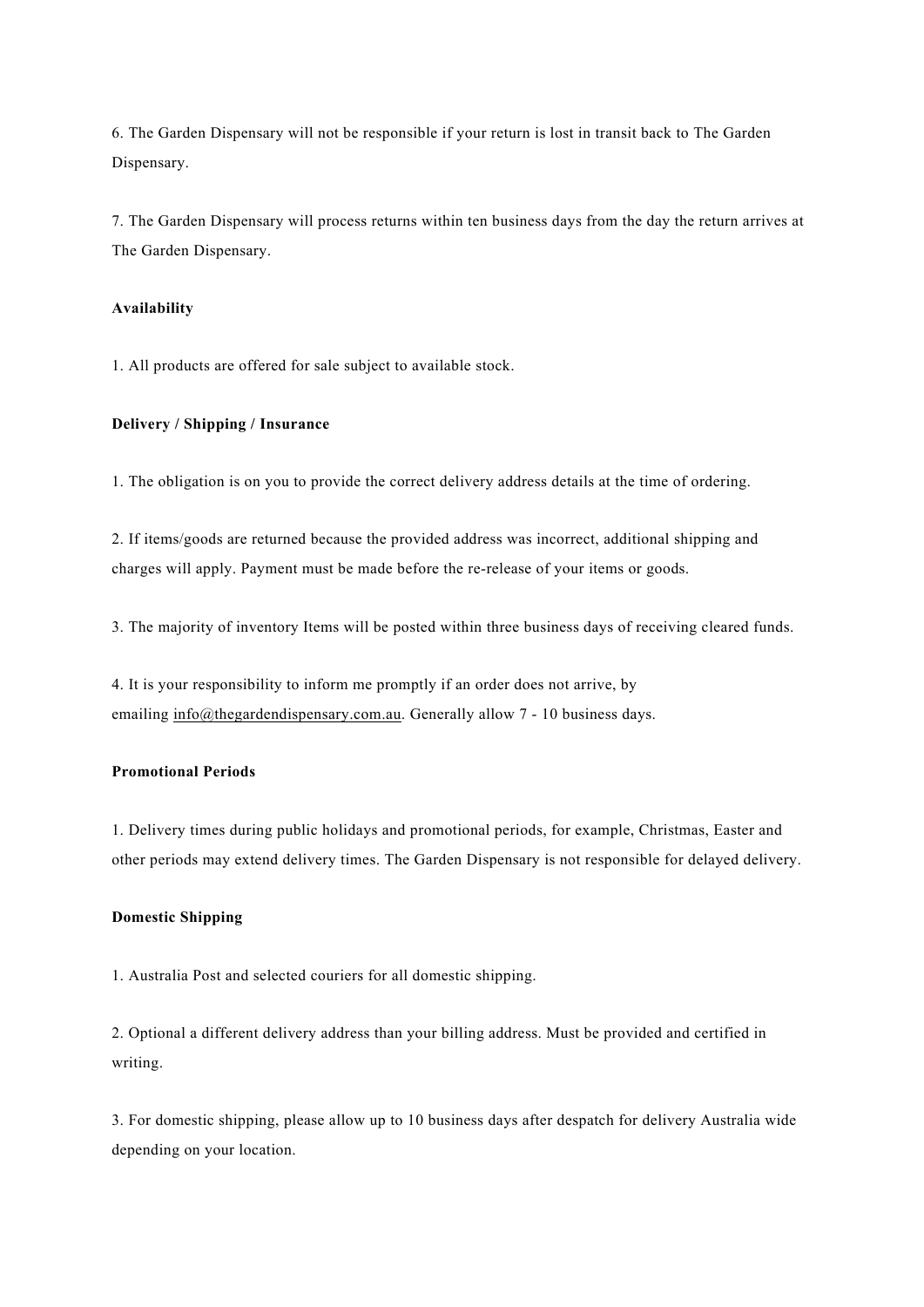6. The Garden Dispensary will not be responsible if your return is lost in transit back to The Garden Dispensary.

7. The Garden Dispensary will process returns within ten business days from the day the return arrives at The Garden Dispensary.

#### **Availability**

1. All products are offered for sale subject to available stock.

## **Delivery / Shipping / Insurance**

1. The obligation is on you to provide the correct delivery address details at the time of ordering.

2. If items/goods are returned because the provided address was incorrect, additional shipping and charges will apply. Payment must be made before the re-release of your items or goods.

3. The majority of inventory Items will be posted within three business days of receiving cleared funds.

4. It is your responsibility to inform me promptly if an order does not arrive, by emailing [info@thegardendispensary.com.au.](mailto:info@thegardendispensary.com.au) Generally allow 7 - 10 business days.

## **Promotional Periods**

1. Delivery times during public holidays and promotional periods, for example, Christmas, Easter and other periods may extend delivery times. The Garden Dispensary is not responsible for delayed delivery.

## **Domestic Shipping**

1. Australia Post and selected couriers for all domestic shipping.

2. Optional a different delivery address than your billing address. Must be provided and certified in writing.

3. For domestic shipping, please allow up to 10 business days after despatch for delivery Australia wide depending on your location.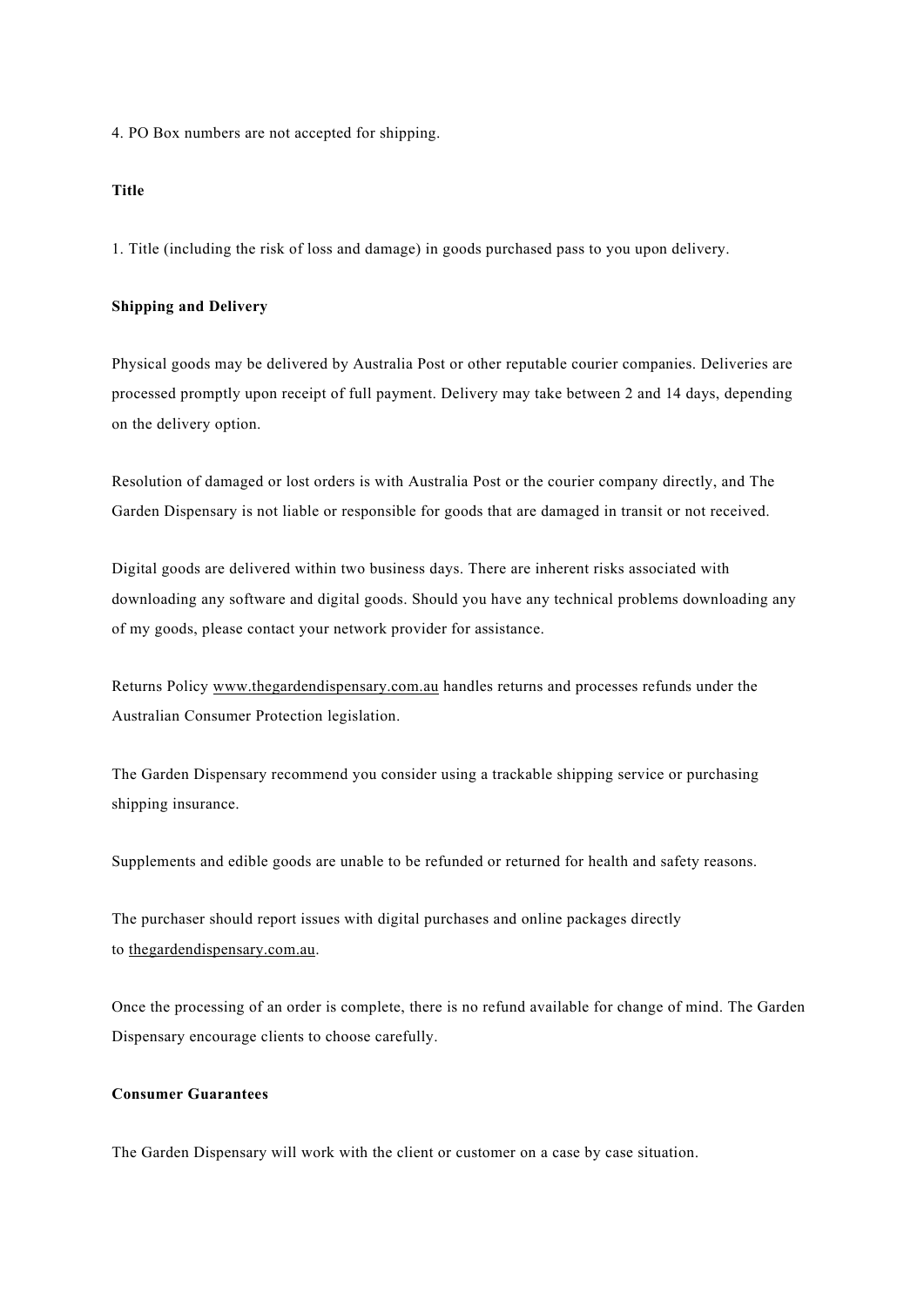4. PO Box numbers are not accepted for shipping.

## **Title**

1. Title (including the risk of loss and damage) in goods purchased pass to you upon delivery.

## **Shipping and Delivery**

Physical goods may be delivered by Australia Post or other reputable courier companies. Deliveries are processed promptly upon receipt of full payment. Delivery may take between 2 and 14 days, depending on the delivery option.

Resolution of damaged or lost orders is with Australia Post or the courier company directly, and The Garden Dispensary is not liable or responsible for goods that are damaged in transit or not received.

Digital goods are delivered within two business days. There are inherent risks associated with downloading any software and digital goods. Should you have any technical problems downloading any of my goods, please contact your network provider for assistance.

Returns Policy [www.thegardendispensary.com.au](http://www.thegardendispensary.com.au/) handles returns and processes refunds under the Australian Consumer Protection legislation.

The Garden Dispensary recommend you consider using a trackable shipping service or purchasing shipping insurance.

Supplements and edible goods are unable to be refunded or returned for health and safety reasons.

The purchaser should report issues with digital purchases and online packages directly to [thegardendispensary.com.au.](http://thegardendispensary.com.au/)

Once the processing of an order is complete, there is no refund available for change of mind. The Garden Dispensary encourage clients to choose carefully.

## **Consumer Guarantees**

The Garden Dispensary will work with the client or customer on a case by case situation.